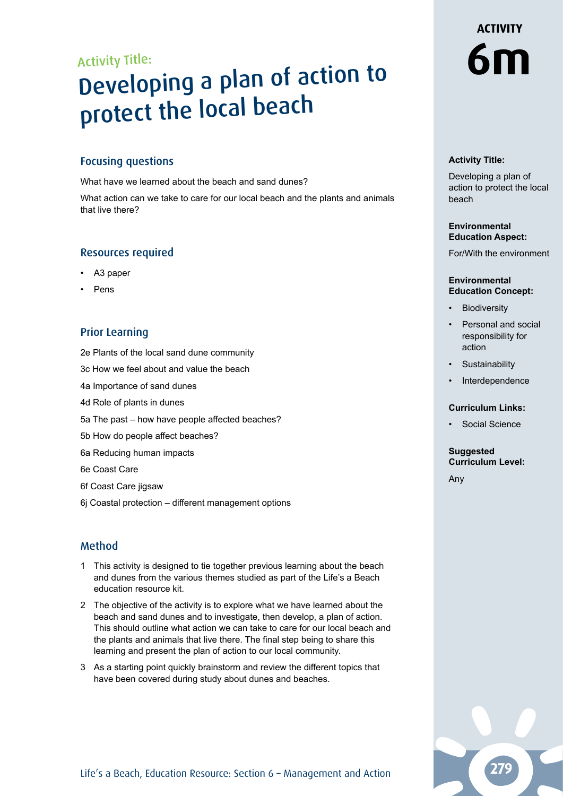### Activity Title:

## Activity Title:<br>Developing a plan of action to **6m** protect the local beach

#### Focusing questions

What have we learned about the beach and sand dunes?

What action can we take to care for our local beach and the plants and animals that live there?

#### Resources required

- A3 paper
- **Pens**

#### Prior Learning

2e Plants of the local sand dune community

3c How we feel about and value the beach

4a Importance of sand dunes

- 4d Role of plants in dunes
- 5a The past how have people affected beaches?
- 5b How do people affect beaches?
- 6a Reducing human impacts

6e Coast Care

- 6f Coast Care jigsaw
- 6j Coastal protection different management options

#### Method

- 1 This activity is designed to tie together previous learning about the beach and dunes from the various themes studied as part of the Life's a Beach education resource kit.
- 2 The objective of the activity is to explore what we have learned about the beach and sand dunes and to investigate, then develop, a plan of action. This should outline what action we can take to care for our local beach and the plants and animals that live there. The final step being to share this learning and present the plan of action to our local community.
- 3 As a starting point quickly brainstorm and review the different topics that have been covered during study about dunes and beaches.

# **ACTIVITY**

#### **Activity Title:**

Developing a plan of action to protect the local beach

#### **Environmental Education Aspect:**

For/With the environment

#### **Environmental Education Concept:**

- **Biodiversity**
- Personal and social responsibility for action
- Sustainability
- **Interdependence**

#### **Curriculum Links:**

Social Science

#### **Suggested Curriculum Level:**

Any